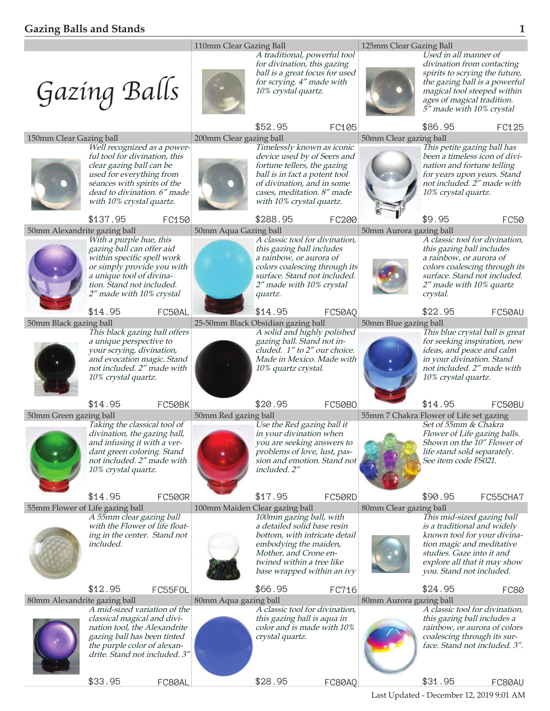\$33.95 FC80AL



\$28.95 FC80AQ

\$31.95 FC80AU

Last Updated - December 12, 2019 9:01 AM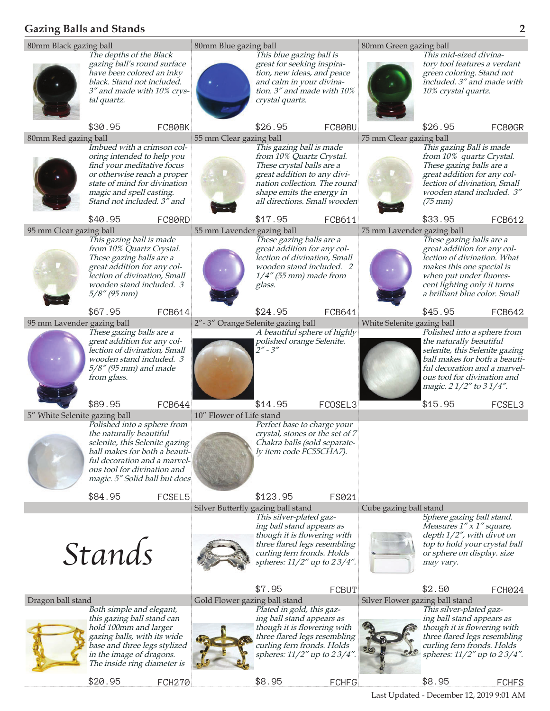## **Gazing Balls and Stands 2**



Last Updated - December 12, 2019 9:01 AM